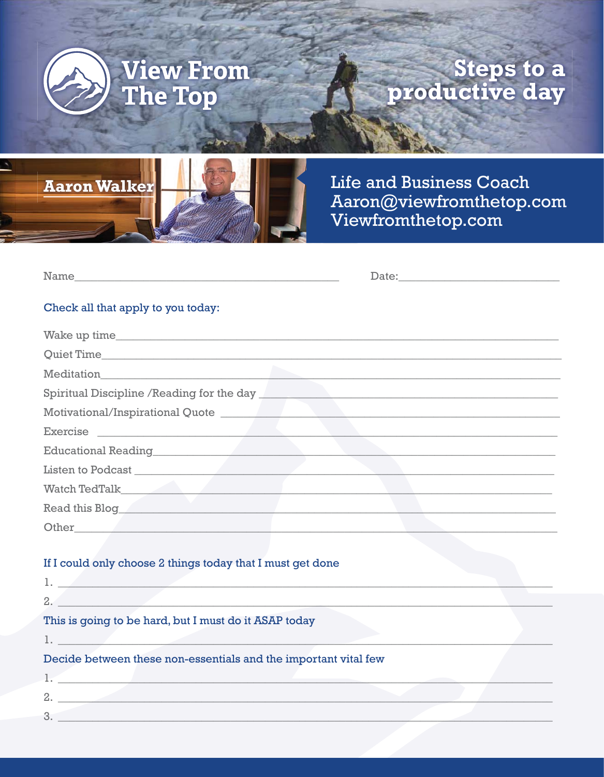

### **Steps to a**<br>productive day



**Life and Business Coach** Aaron@viewfromthetop.com Viewfromthetop.com

| <b>BT</b><br>am.<br>M |  |  |
|-----------------------|--|--|
|                       |  |  |
| ___<br>___            |  |  |

### Check all that apply to you today:

| Meditation                                 |
|--------------------------------------------|
| Spiritual Discipline / Reading for the day |
|                                            |
| Exercise                                   |
|                                            |
| Listen to Podcast                          |
|                                            |
| Read this Blog                             |
| Other                                      |

#### If I could only choose 2 things today that I must get done

| 2.                                                              |  |
|-----------------------------------------------------------------|--|
| This is going to be hard, but I must do it ASAP today           |  |
|                                                                 |  |
| Decide between these non-essentials and the important vital few |  |
|                                                                 |  |
| 2.                                                              |  |
| 3                                                               |  |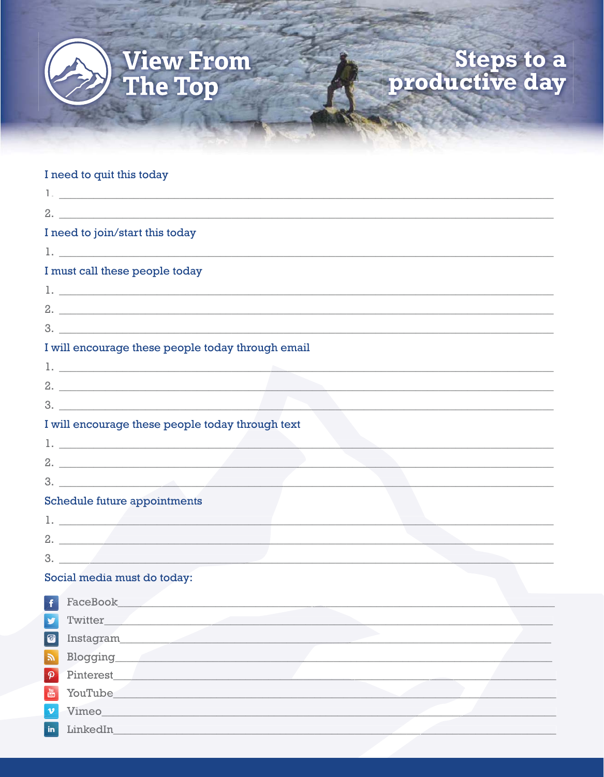

# Steps to a<br>productive day

#### I need to quit this today

LinkedIn

 $\mathsf{in}$ 

|                            | $2.$ $\frac{1}{2}$ $\frac{1}{2}$ $\frac{1}{2}$ $\frac{1}{2}$ $\frac{1}{2}$ $\frac{1}{2}$ $\frac{1}{2}$ $\frac{1}{2}$ $\frac{1}{2}$ $\frac{1}{2}$ $\frac{1}{2}$ $\frac{1}{2}$ $\frac{1}{2}$ $\frac{1}{2}$ $\frac{1}{2}$ $\frac{1}{2}$ $\frac{1}{2}$ $\frac{1}{2}$ $\frac{1}{2}$ $\frac{1}{2}$ $\frac{1}{2}$ $\frac{1}{$ |
|----------------------------|------------------------------------------------------------------------------------------------------------------------------------------------------------------------------------------------------------------------------------------------------------------------------------------------------------------------|
|                            | I need to join/start this today                                                                                                                                                                                                                                                                                        |
|                            | $1.$ $\overline{\phantom{a}}$ . The contract of the contract of the contract of the contract of the contract of the contract of the contract of the contract of the contract of the contract of the contract of the contract of the contra                                                                             |
|                            | I must call these people today                                                                                                                                                                                                                                                                                         |
|                            |                                                                                                                                                                                                                                                                                                                        |
|                            |                                                                                                                                                                                                                                                                                                                        |
|                            |                                                                                                                                                                                                                                                                                                                        |
|                            | I will encourage these people today through email                                                                                                                                                                                                                                                                      |
|                            | $\mathbf{1.}$ $\Box$ . The contract of the contract of the contract of the contract of the contract of the contract of the contract of the contract of the contract of the contract of the contract of the contract of the contract                                                                                    |
|                            | $2.$ $\overline{\phantom{a}}$                                                                                                                                                                                                                                                                                          |
|                            |                                                                                                                                                                                                                                                                                                                        |
|                            | I will encourage these people today through text                                                                                                                                                                                                                                                                       |
|                            |                                                                                                                                                                                                                                                                                                                        |
|                            |                                                                                                                                                                                                                                                                                                                        |
|                            | 3.                                                                                                                                                                                                                                                                                                                     |
|                            | <b>Schedule future appointments</b>                                                                                                                                                                                                                                                                                    |
|                            | <u>1. _________________________________</u>                                                                                                                                                                                                                                                                            |
|                            | 2.                                                                                                                                                                                                                                                                                                                     |
|                            | 3.                                                                                                                                                                                                                                                                                                                     |
|                            | Social media must do today:                                                                                                                                                                                                                                                                                            |
|                            | <b>Execution Section</b> Section 2 and 2 and 3 and 3 and 3 and 3 and 3 and 3 and 3 and 3 and 3 and 3 and 3 and 3 and 3 and 3 and 3 and 3 and 3 and 3 and 3 and 3 and 3 and 3 and 3 and 3 and 3 and 3 and 3 and 3 and 3 and 3 and 3                                                                                     |
|                            | V Twitter                                                                                                                                                                                                                                                                                                              |
| $\bullet$                  | Instagram                                                                                                                                                                                                                                                                                                              |
| $\mathbb{Z}$               | <b>Blogging</b>                                                                                                                                                                                                                                                                                                        |
| $\boldsymbol{\mathcal{P}}$ | Pinterest_                                                                                                                                                                                                                                                                                                             |
| $\frac{Y_{01}}{U_{010}}$   | YouTube_                                                                                                                                                                                                                                                                                                               |
| $\mathbf{v}$               | Vimeo                                                                                                                                                                                                                                                                                                                  |